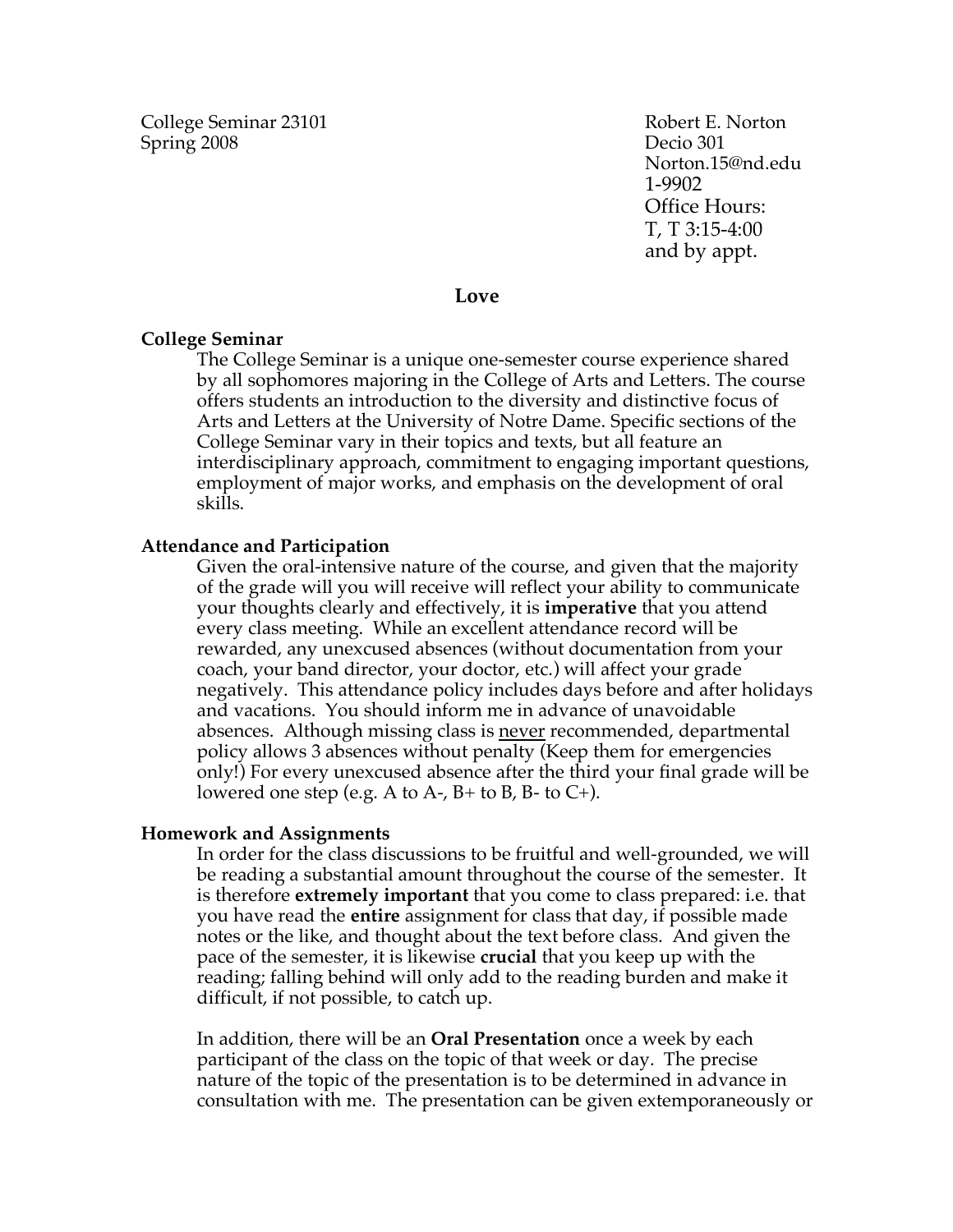College Seminar 23101 Robert E. Norton Spring 2008 Decio 301

Norton.15@nd.edu 1-9902 Office Hours: T, T 3:15-4:00 and by appt.

#### **Love**

#### **College Seminar**

The College Seminar is a unique one-semester course experience shared by all sophomores majoring in the College of Arts and Letters. The course offers students an introduction to the diversity and distinctive focus of Arts and Letters at the University of Notre Dame. Specific sections of the College Seminar vary in their topics and texts, but all feature an interdisciplinary approach, commitment to engaging important questions, employment of major works, and emphasis on the development of oral skills.

#### **Attendance and Participation**

Given the oral-intensive nature of the course, and given that the majority of the grade will you will receive will reflect your ability to communicate your thoughts clearly and effectively, it is **imperative** that you attend every class meeting. While an excellent attendance record will be rewarded, any unexcused absences (without documentation from your coach, your band director, your doctor, etc.) will affect your grade negatively. This attendance policy includes days before and after holidays and vacations. You should inform me in advance of unavoidable absences. Although missing class is <u>never</u> recommended, departmental policy allows 3 absences without penalty (Keep them for emergencies only!) For every unexcused absence after the third your final grade will be lowered one step (e.g. A to A-,  $B$ + to B, B- to C+).

#### **Homework and Assignments**

In order for the class discussions to be fruitful and well-grounded, we will be reading a substantial amount throughout the course of the semester. It is therefore **extremely important** that you come to class prepared: i.e. that you have read the **entire** assignment for class that day, if possible made notes or the like, and thought about the text before class. And given the pace of the semester, it is likewise **crucial** that you keep up with the reading; falling behind will only add to the reading burden and make it difficult, if not possible, to catch up.

In addition, there will be an **Oral Presentation** once a week by each participant of the class on the topic of that week or day. The precise nature of the topic of the presentation is to be determined in advance in consultation with me. The presentation can be given extemporaneously or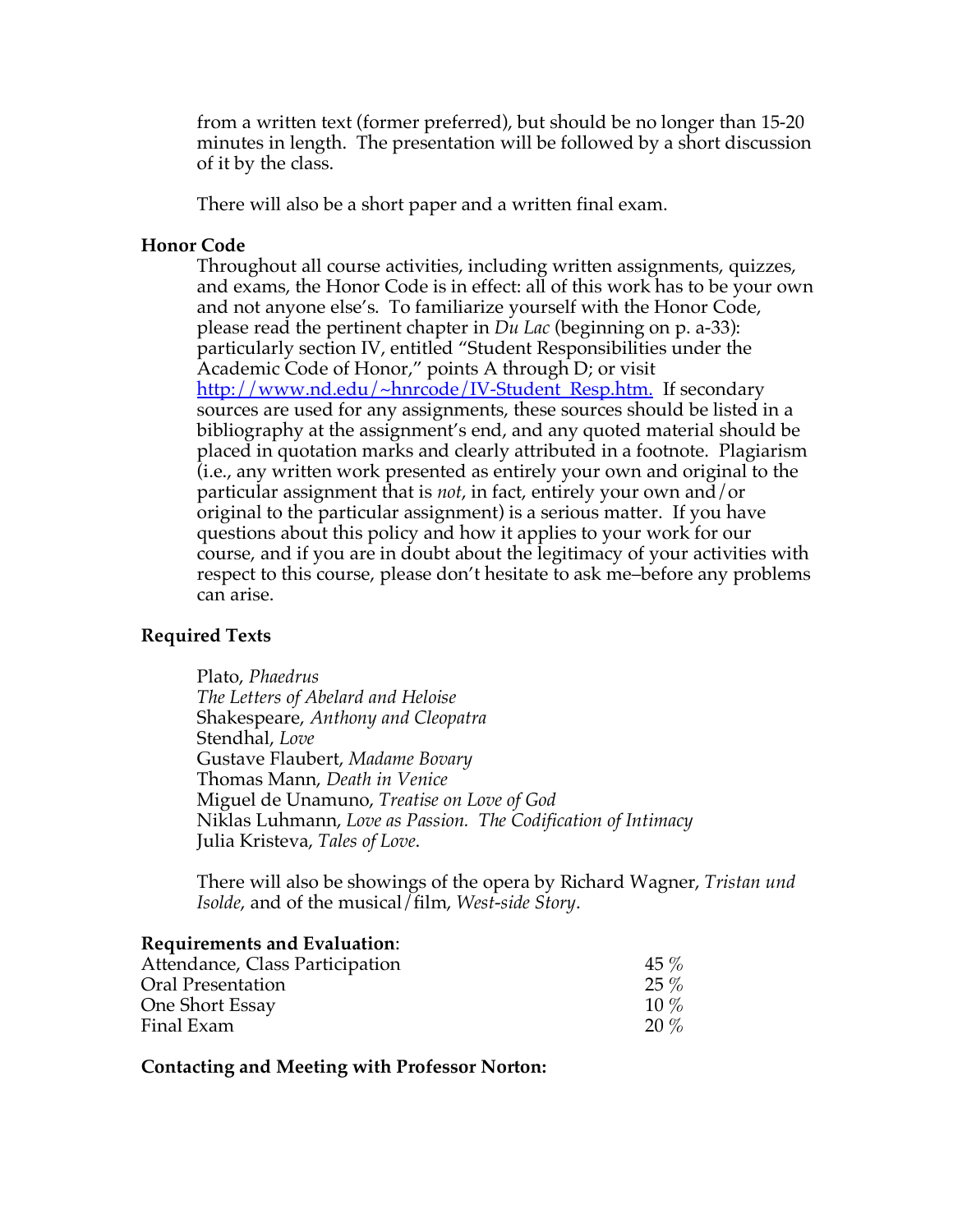from a written text (former preferred), but should be no longer than 15-20 minutes in length. The presentation will be followed by a short discussion of it by the class.

There will also be a short paper and a written final exam.

### **Honor Code**

Throughout all course activities, including written assignments, quizzes, and exams, the Honor Code is in effect: all of this work has to be your own and not anyone else's. To familiarize yourself with the Honor Code, please read the pertinent chapter in *Du Lac* (beginning on p. a-33): particularly section IV, entitled "Student Responsibilities under the Academic Code of Honor," points A through D; or visit http://www.nd.edu/~hnrcode/IV-Student\_Resp.htm. If secondary sources are used for any assignments, these sources should be listed in a bibliography at the assignment's end, and any quoted material should be placed in quotation marks and clearly attributed in a footnote. Plagiarism (i.e., any written work presented as entirely your own and original to the particular assignment that is *not*, in fact, entirely your own and/or original to the particular assignment) is a serious matter. If you have questions about this policy and how it applies to your work for our course, and if you are in doubt about the legitimacy of your activities with respect to this course, please don't hesitate to ask me–before any problems can arise.

## **Required Texts**

Plato, *Phaedrus The Letters of Abelard and Heloise* Shakespeare, *Anthony and Cleopatra* Stendhal, *Love* Gustave Flaubert, *Madame Bovary* Thomas Mann, *Death in Venice* Miguel de Unamuno, *Treatise on Love of God* Niklas Luhmann, *Love as Passion. The Codification of Intimacy* Julia Kristeva, *Tales of Love*.

There will also be showings of the opera by Richard Wagner, *Tristan und Isolde*, and of the musical/film, *West-side Story*.

#### **Requirements and Evaluation**:

| Attendance, Class Participation | $45\%$  |
|---------------------------------|---------|
| Oral Presentation               | $25\%$  |
| One Short Essay                 | $10\%$  |
| Final Exam                      | $20 \%$ |

**Contacting and Meeting with Professor Norton:**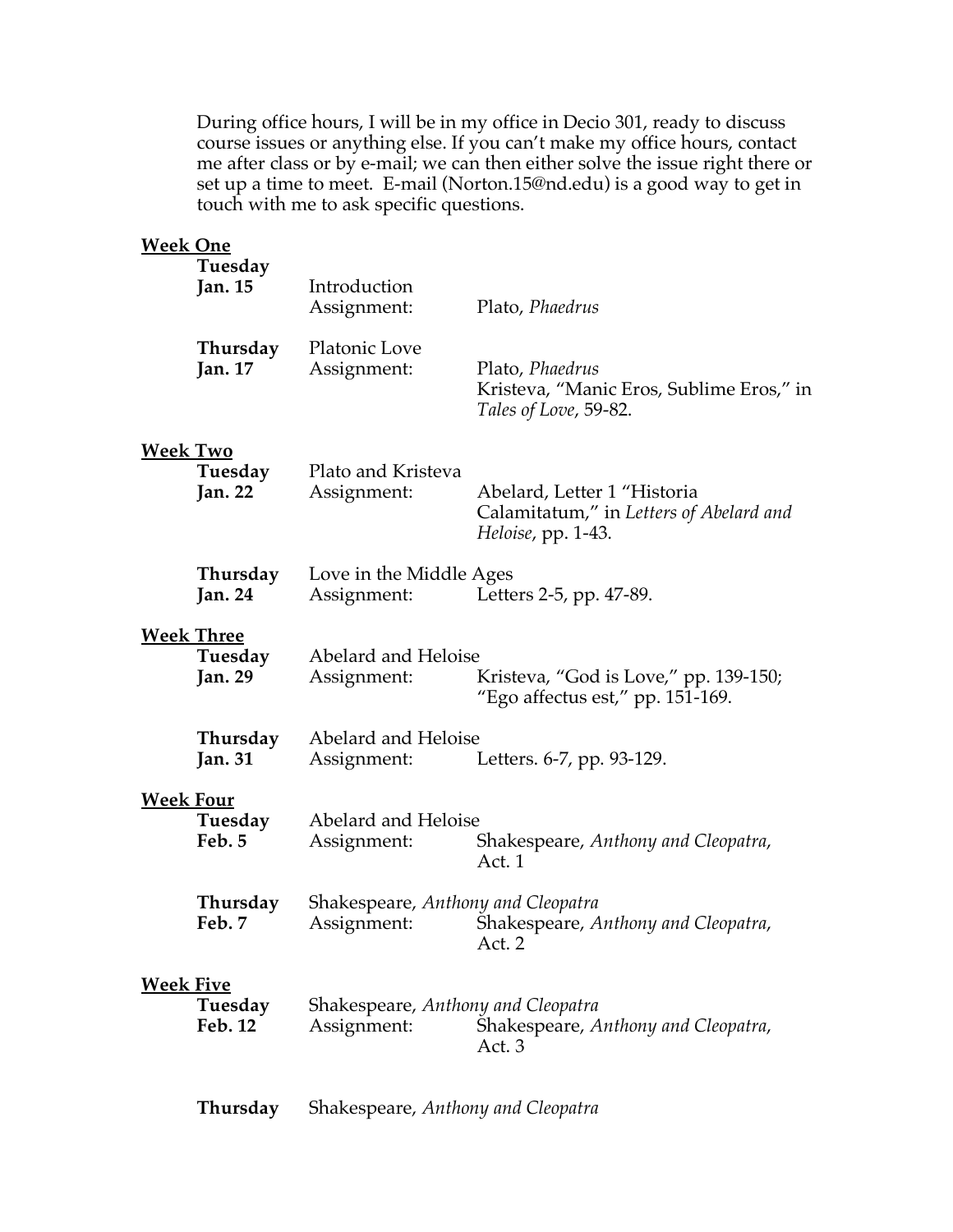During office hours, I will be in my office in Decio 301, ready to discuss course issues or anything else. If you can't make my office hours, contact me after class or by e-mail; we can then either solve the issue right there or set up a time to meet. E-mail (Norton.15@nd.edu) is a good way to get in touch with me to ask specific questions.

| <b>Week One</b>  | Tuesday                                        |                                                                                                                    |                                                                                              |
|------------------|------------------------------------------------|--------------------------------------------------------------------------------------------------------------------|----------------------------------------------------------------------------------------------|
|                  | <b>Jan. 15</b>                                 | Introduction<br>Assignment:                                                                                        | Plato, Phaedrus                                                                              |
|                  | Thursday<br><b>Jan.</b> 17                     | Platonic Love<br>Assignment:                                                                                       | Plato, Phaedrus<br>Kristeva, "Manic Eros, Sublime Eros," in<br>Tales of Love, 59-82.         |
| <b>Week Two</b>  | Tuesday<br><b>Jan. 22</b>                      | Plato and Kristeva<br>Assignment:                                                                                  | Abelard, Letter 1 "Historia<br>Calamitatum," in Letters of Abelard and<br>Heloise, pp. 1-43. |
|                  | Thursday<br><b>Jan. 24</b>                     | Love in the Middle Ages<br>Assignment:                                                                             | Letters 2-5, pp. 47-89.                                                                      |
|                  | <b>Week Three</b><br>Tuesday<br><b>Jan. 29</b> | Abelard and Heloise<br>Kristeva, "God is Love," pp. 139-150;<br>Assignment:<br>"Ego affectus est," pp. $151-169$ . |                                                                                              |
|                  | Thursday<br><b>Jan. 31</b>                     | Abelard and Heloise<br>Assignment:                                                                                 | Letters. 6-7, pp. 93-129.                                                                    |
| <b>Week Four</b> | Tuesday<br>Feb. 5                              | Abelard and Heloise<br>Assignment:                                                                                 | Shakespeare, Anthony and Cleopatra,<br>Act. 1                                                |
|                  | Thursday<br>Feb. 7                             | Shakespeare, Anthony and Cleopatra<br>Assignment:                                                                  | Shakespeare, Anthony and Cleopatra,<br>Act. 2                                                |
| <b>Week Five</b> | Tuesday<br>Feb. 12                             | Shakespeare, Anthony and Cleopatra<br>Assignment:                                                                  | Shakespeare, Anthony and Cleopatra,<br>Act. 3                                                |
|                  | Thursday                                       | Shakespeare, Anthony and Cleopatra                                                                                 |                                                                                              |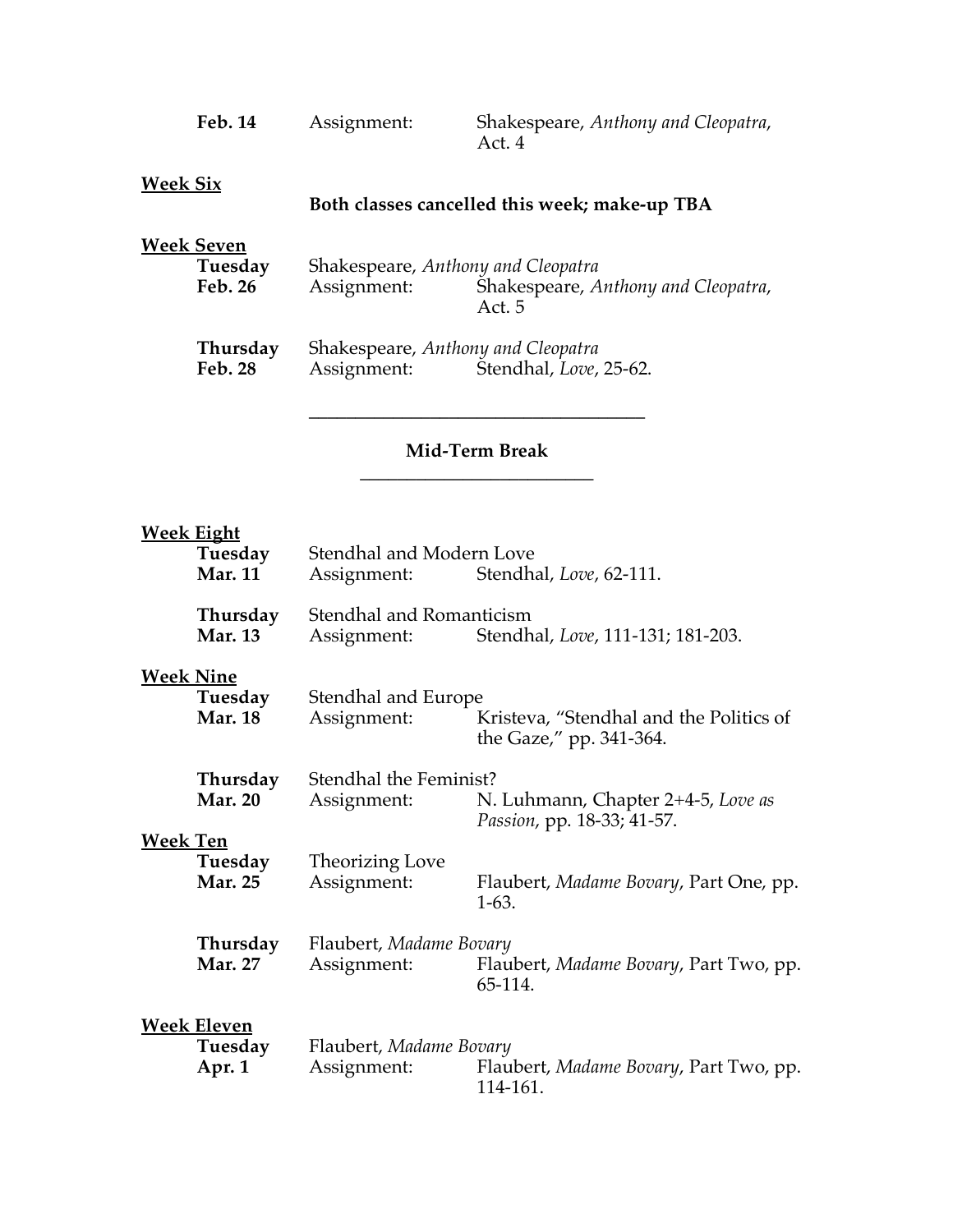| <b>Feb. 14</b>                   | Assignment:                                                                 | Shakespeare, Anthony and Cleopatra,<br>Act. 4 |
|----------------------------------|-----------------------------------------------------------------------------|-----------------------------------------------|
| Week Six                         |                                                                             | Both classes cancelled this week; make-up TBA |
| Week Seven<br>Tuesday<br>Feb. 26 | Shakespeare, Anthony and Cleopatra<br>Assignment:                           | Shakespeare, Anthony and Cleopatra,<br>Act. 5 |
| Thursday<br><b>Feb. 28</b>       | Shakespeare, Anthony and Cleopatra<br>Stendhal, Love, 25-62.<br>Assignment: |                                               |

## **Mid-Term Break \_\_\_\_\_\_\_\_\_\_\_\_\_\_\_\_\_\_\_\_\_\_\_\_\_**

**\_\_\_\_\_\_\_\_\_\_\_\_\_\_\_\_\_\_\_\_\_\_\_\_\_\_\_\_\_\_\_\_\_\_\_\_**

# **Week Eight**

|                                                                            | <u>Week Eight</u><br>Tuesday<br><b>Mar. 11</b> | Stendhal and Modern Love<br>Assignment:                                                      | Stendhal, Love, 62-111.                                            |
|----------------------------------------------------------------------------|------------------------------------------------|----------------------------------------------------------------------------------------------|--------------------------------------------------------------------|
| Thursday<br><b>Mar. 13</b>                                                 |                                                | Stendhal and Romanticism<br>Assignment:                                                      | Stendhal, Love, 111-131; 181-203.                                  |
|                                                                            | <b>Week Nine</b><br>Tuesday<br><b>Mar. 18</b>  | Stendhal and Europe<br>Assignment:                                                           | Kristeva, "Stendhal and the Politics of<br>the Gaze," pp. 341-364. |
| Thursday<br><b>Mar. 20</b><br><b>Week Ten</b><br>Tuesday<br><b>Mar. 25</b> | Stendhal the Feminist?<br>Assignment:          | N. Luhmann, Chapter 2+4-5, Love as<br>Passion, pp. 18-33; 41-57.                             |                                                                    |
|                                                                            |                                                | Theorizing Love<br>Assignment:                                                               | Flaubert, Madame Bovary, Part One, pp.<br>$1-63.$                  |
|                                                                            | Thursday<br><b>Mar. 27</b>                     | Flaubert, Madame Bovary<br>Assignment:                                                       | Flaubert, Madame Bovary, Part Two, pp.<br>65-114.                  |
| <b>Week Eleven</b><br>Tuesday<br>Apr. 1                                    |                                                | Flaubert, Madame Bovary<br>Assignment:<br>Flaubert, Madame Bovary, Part Two, pp.<br>114-161. |                                                                    |